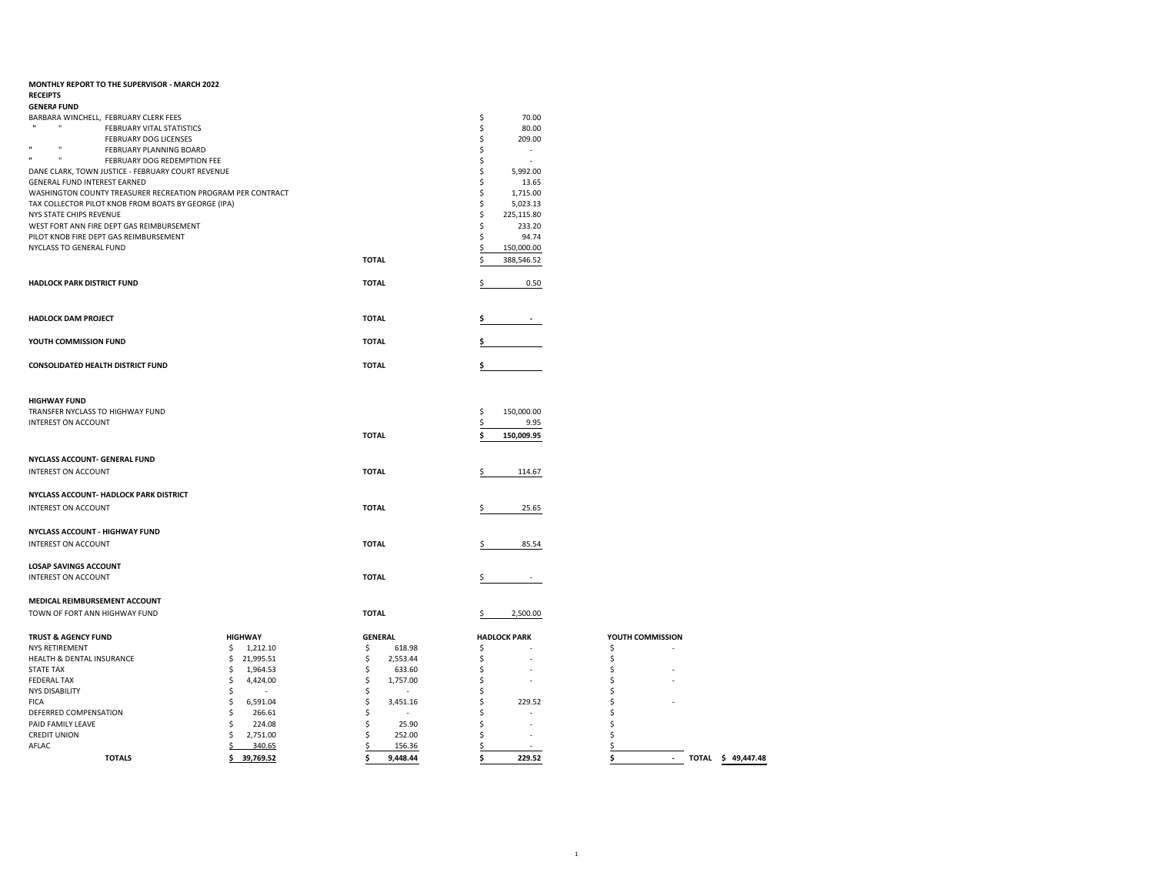| MONTHLY REPORT TO THE SUPERVISOR - MARCH 2022               |                 |                |                                |                                   |
|-------------------------------------------------------------|-----------------|----------------|--------------------------------|-----------------------------------|
| <b>RECEIPTS</b>                                             |                 |                |                                |                                   |
| <b>GENERA FUND</b>                                          |                 |                |                                |                                   |
| BARBARA WINCHELL, FEBRUARY CLERK FEES                       |                 |                | \$<br>70.00                    |                                   |
| $\mathbf{u}$<br>FEBRUARY VITAL STATISTICS                   |                 |                | \$<br>80.00                    |                                   |
| FEBRUARY DOG LICENSES                                       |                 |                | \$<br>209.00                   |                                   |
| $\mathbf{u}$<br>FEBRUARY PLANNING BOARD                     |                 |                | \$<br>$\overline{\phantom{a}}$ |                                   |
| $\blacksquare$<br>FEBRUARY DOG REDEMPTION FEE               |                 |                | \$<br>$\overline{\phantom{a}}$ |                                   |
| DANE CLARK, TOWN JUSTICE - FEBRUARY COURT REVENUE           |                 |                | \$<br>5,992.00                 |                                   |
| GENERAL FUND INTEREST EARNED                                |                 |                | \$<br>13.65                    |                                   |
| WASHINGTON COUNTY TREASURER RECREATION PROGRAM PER CONTRACT |                 |                | \$<br>1,715.00                 |                                   |
| TAX COLLECTOR PILOT KNOB FROM BOATS BY GEORGE (IPA)         |                 |                | \$<br>5,023.13                 |                                   |
| NYS STATE CHIPS REVENUE                                     |                 |                | \$<br>225,115.80               |                                   |
| WEST FORT ANN FIRE DEPT GAS REIMBURSEMENT                   |                 |                | \$<br>233.20                   |                                   |
| PILOT KNOB FIRE DEPT GAS REIMBURSEMENT                      |                 |                | \$<br>94.74                    |                                   |
| NYCLASS TO GENERAL FUND                                     |                 |                | 150,000.00                     |                                   |
|                                                             |                 |                |                                |                                   |
|                                                             |                 | <b>TOTAL</b>   | 388,546.52                     |                                   |
| <b>HADLOCK PARK DISTRICT FUND</b>                           |                 | <b>TOTAL</b>   | 0.50<br>Ŝ                      |                                   |
|                                                             |                 |                |                                |                                   |
|                                                             |                 |                |                                |                                   |
| <b>HADLOCK DAM PROJECT</b>                                  |                 | <b>TOTAL</b>   |                                |                                   |
|                                                             |                 |                |                                |                                   |
| YOUTH COMMISSION FUND                                       |                 | <b>TOTAL</b>   |                                |                                   |
| <b>CONSOLIDATED HEALTH DISTRICT FUND</b>                    |                 | <b>TOTAL</b>   | \$                             |                                   |
|                                                             |                 |                |                                |                                   |
|                                                             |                 |                |                                |                                   |
| <b>HIGHWAY FUND</b>                                         |                 |                |                                |                                   |
| TRANSFER NYCLASS TO HIGHWAY FUND                            |                 |                | \$<br>150,000.00               |                                   |
| INTEREST ON ACCOUNT                                         |                 |                | \$<br>9.95                     |                                   |
|                                                             |                 | <b>TOTAL</b>   | 150,009.95<br>\$               |                                   |
|                                                             |                 |                |                                |                                   |
| NYCLASS ACCOUNT- GENERAL FUND                               |                 |                |                                |                                   |
| INTEREST ON ACCOUNT                                         |                 | <b>TOTAL</b>   | 114.67<br>\$                   |                                   |
|                                                             |                 |                |                                |                                   |
| NYCLASS ACCOUNT- HADLOCK PARK DISTRICT                      |                 |                |                                |                                   |
| INTEREST ON ACCOUNT                                         |                 | <b>TOTAL</b>   | 25.65                          |                                   |
|                                                             |                 |                |                                |                                   |
| <b>NYCLASS ACCOUNT - HIGHWAY FUND</b>                       |                 |                |                                |                                   |
| <b>INTEREST ON ACCOUNT</b>                                  |                 | <b>TOTAL</b>   | 85.54<br>\$                    |                                   |
|                                                             |                 |                |                                |                                   |
| <b>LOSAP SAVINGS ACCOUNT</b>                                |                 |                |                                |                                   |
| INTEREST ON ACCOUNT                                         |                 | <b>TOTAL</b>   | $\overline{\phantom{a}}$       |                                   |
|                                                             |                 |                |                                |                                   |
| MEDICAL REIMBURSEMENT ACCOUNT                               |                 |                |                                |                                   |
| TOWN OF FORT ANN HIGHWAY FUND                               |                 | <b>TOTAL</b>   | 2,500.00                       |                                   |
|                                                             |                 |                |                                |                                   |
| <b>TRUST &amp; AGENCY FUND</b>                              | <b>HIGHWAY</b>  | <b>GENERAL</b> | <b>HADLOCK PARK</b>            | YOUTH COMMISSION                  |
| <b>NYS RETIREMENT</b>                                       | 1,212.10<br>Ŝ   | \$<br>618.98   | \$                             | \$                                |
| HEALTH & DENTAL INSURANCE                                   | \$<br>21,995.51 | \$<br>2,553.44 | \$                             | \$                                |
| <b>STATE TAX</b>                                            | 1,964.53<br>\$. | \$<br>633.60   | \$                             | \$                                |
| <b>FEDERAL TAX</b>                                          | 4,424.00<br>\$  | \$<br>1,757.00 | \$<br>$\overline{a}$           | Ś                                 |
| <b>NYS DISABILITY</b>                                       | \$              | \$             | \$                             | Ś                                 |
| <b>FICA</b>                                                 | \$<br>6,591.04  | \$<br>3,451.16 | \$<br>229.52                   | Ś                                 |
| DEFERRED COMPENSATION                                       | 266.61<br>\$    | \$<br>$\sim$   | \$                             | Ś                                 |
| PAID FAMILY LEAVE                                           | 224.08<br>\$    | \$<br>25.90    | \$<br>$\overline{\phantom{a}}$ | Ś                                 |
| <b>CREDIT UNION</b>                                         | 2,751.00<br>Ŝ.  | \$<br>252.00   | \$                             | Ś                                 |
| AFLAC                                                       |                 | \$<br>156.36   | \$                             | \$                                |
|                                                             | 340.65<br>\$    |                |                                |                                   |
| <b>TOTALS</b>                                               | \$39,769.52     | 9,448.44<br>\$ | \$<br>229.52                   | TOTAL \$ 49,447.48<br>Ś<br>$\sim$ |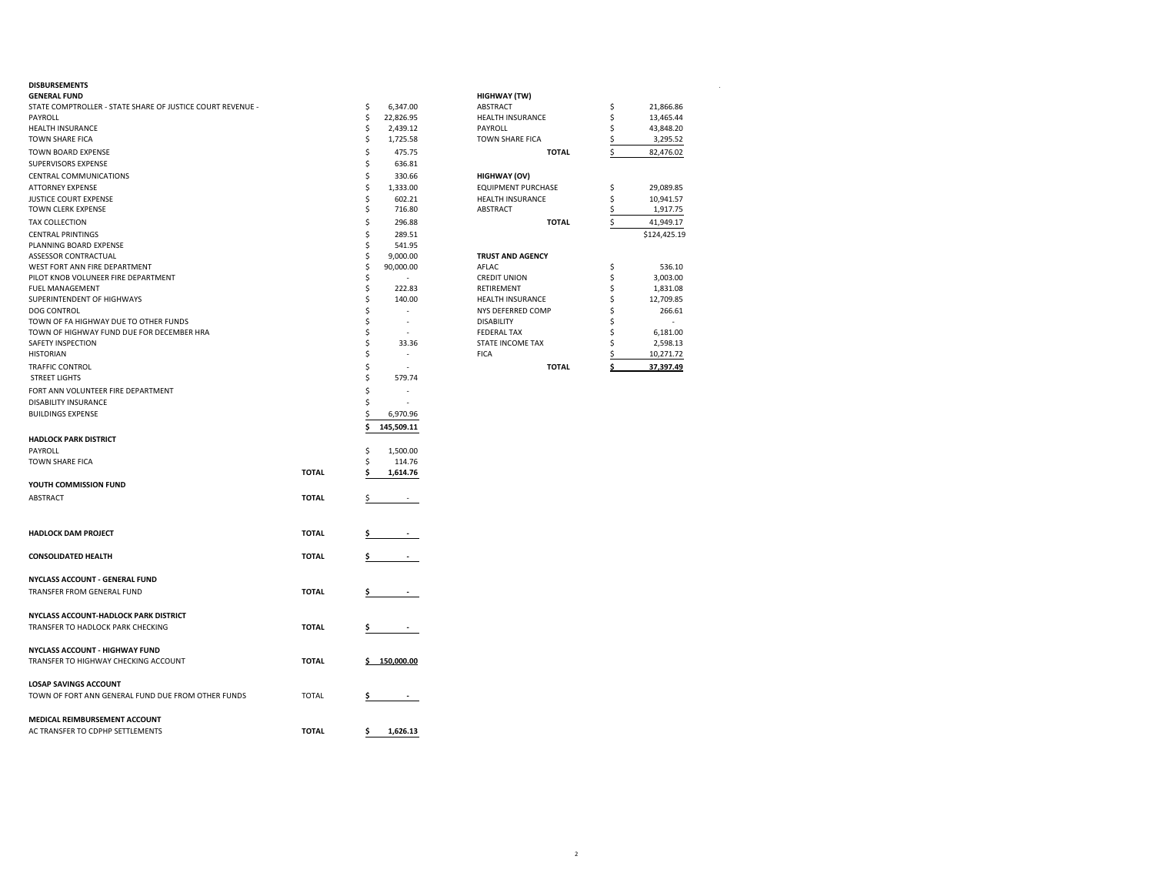| <b>GENERAL FUND</b>                                        |              |    |            | HIGHWAY (TW)              |    |              |
|------------------------------------------------------------|--------------|----|------------|---------------------------|----|--------------|
| STATE COMPTROLLER - STATE SHARE OF JUSTICE COURT REVENUE - |              | \$ | 6,347.00   | <b>ABSTRACT</b>           | \$ | 21,866.86    |
| PAYROLL                                                    |              | \$ | 22,826.95  | HEALTH INSURANCE          | \$ | 13,465.44    |
| <b>HEALTH INSURANCE</b>                                    |              | \$ | 2,439.12   | PAYROLL                   | Ś  | 43,848.20    |
| TOWN SHARE FICA                                            |              | \$ | 1,725.58   | <b>TOWN SHARE FICA</b>    | \$ | 3,295.52     |
| TOWN BOARD EXPENSE                                         |              | Ś  | 475.75     | <b>TOTAL</b>              | \$ | 82,476.02    |
| SUPERVISORS EXPENSE                                        |              | Ś  | 636.81     |                           |    |              |
| CENTRAL COMMUNICATIONS                                     |              | \$ | 330.66     | <b>HIGHWAY (OV)</b>       |    |              |
| <b>ATTORNEY EXPENSE</b>                                    |              | Ś  | 1,333.00   | <b>EQUIPMENT PURCHASE</b> | \$ | 29,089.85    |
| JUSTICE COURT EXPENSE                                      |              |    | 602.21     | HEALTH INSURANCE          | \$ | 10,941.57    |
| TOWN CLERK EXPENSE                                         |              | Ś  | 716.80     | ABSTRACT                  | \$ | 1,917.75     |
| <b>TAX COLLECTION</b>                                      |              | Ś  | 296.88     | <b>TOTAL</b>              | \$ | 41,949.17    |
| <b>CENTRAL PRINTINGS</b>                                   |              | Ś  | 289.51     |                           |    | \$124,425.19 |
| PLANNING BOARD EXPENSE                                     |              | Ś  | 541.95     |                           |    |              |
| ASSESSOR CONTRACTUAL                                       |              | Ś  | 9,000.00   | <b>TRUST AND AGENCY</b>   |    |              |
| WEST FORT ANN FIRE DEPARTMENT                              |              |    | 90,000.00  | AFLAC                     | \$ | 536.10       |
| PILOT KNOB VOLUNEER FIRE DEPARTMENT                        |              | Ś  |            | <b>CREDIT UNION</b>       | \$ | 3,003.00     |
| FUEL MANAGEMENT                                            |              | Ś  | 222.83     | <b>RETIREMENT</b>         | \$ | 1,831.08     |
| SUPERINTENDENT OF HIGHWAYS                                 |              | Ś  | 140.00     | <b>HEALTH INSURANCE</b>   | \$ | 12,709.85    |
| DOG CONTROL                                                |              | Ś  |            | NYS DEFERRED COMP         | Ś  | 266.61       |
| TOWN OF FA HIGHWAY DUE TO OTHER FUNDS                      |              | \$ |            | <b>DISABILITY</b>         | Ś  |              |
| TOWN OF HIGHWAY FUND DUE FOR DECEMBER HRA                  |              | Ś  |            | <b>FEDERAL TAX</b>        | Ś  | 6,181.00     |
| SAFETY INSPECTION                                          |              | Ś  | 33.36      | STATE INCOME TAX          | Ŝ  | 2,598.13     |
| <b>HISTORIAN</b>                                           |              | Ś  | ÷,         | <b>FICA</b>               |    | 10,271.72    |
| TRAFFIC CONTROL                                            |              | Ś  |            | <b>TOTAL</b>              | Ś  | 37,397.49    |
| <b>STREET LIGHTS</b>                                       |              | \$ | 579.74     |                           |    |              |
|                                                            |              | Ś  |            |                           |    |              |
| FORT ANN VOLUNTEER FIRE DEPARTMENT                         |              |    |            |                           |    |              |
| DISABILITY INSURANCE                                       |              | S  |            |                           |    |              |
| <b>BUILDINGS EXPENSE</b>                                   |              |    | 6,970.96   |                           |    |              |
|                                                            |              | Ś  | 145,509.11 |                           |    |              |
| <b>HADLOCK PARK DISTRICT</b>                               |              |    |            |                           |    |              |
| PAYROLL                                                    |              | \$ | 1,500.00   |                           |    |              |
| TOWN SHARE FICA                                            |              | Ś  | 114.76     |                           |    |              |
|                                                            | <b>TOTAL</b> | Ś  | 1,614.76   |                           |    |              |
| YOUTH COMMISSION FUND                                      |              |    |            |                           |    |              |
| <b>ABSTRACT</b>                                            | <b>TOTAL</b> | \$ |            |                           |    |              |
|                                                            |              |    |            |                           |    |              |
| <b>HADLOCK DAM PROJECT</b>                                 | <b>TOTAL</b> |    |            |                           |    |              |
|                                                            |              |    |            |                           |    |              |
| <b>CONSOLIDATED HEALTH</b>                                 | <b>TOTAL</b> |    |            |                           |    |              |
| NYCLASS ACCOUNT - GENERAL FUND                             |              |    |            |                           |    |              |
| TRANSFER FROM GENERAL FUND                                 | <b>TOTAL</b> |    |            |                           |    |              |
| NYCLASS ACCOUNT-HADLOCK PARK DISTRICT                      |              |    |            |                           |    |              |
| TRANSFER TO HADLOCK PARK CHECKING                          | <b>TOTAL</b> | Ş  |            |                           |    |              |
|                                                            |              |    |            |                           |    |              |
| NYCLASS ACCOUNT - HIGHWAY FUND                             |              |    |            |                           |    |              |
| TRANSFER TO HIGHWAY CHECKING ACCOUNT                       | <b>TOTAL</b> |    | 150,000.00 |                           |    |              |
|                                                            |              |    |            |                           |    |              |
| <b>LOSAP SAVINGS ACCOUNT</b>                               |              |    |            |                           |    |              |
| TOWN OF FORT ANN GENERAL FUND DUE FROM OTHER FUNDS         | <b>TOTAL</b> | Ş  |            |                           |    |              |
|                                                            |              |    |            |                           |    |              |
|                                                            |              |    |            |                           |    |              |
| MEDICAL REIMBURSEMENT ACCOUNT                              | <b>TOTAL</b> |    |            |                           |    |              |
| AC TRANSFER TO CDPHP SETTLEMENTS                           |              | \$ | 1,626.13   |                           |    |              |

| <b>DISBURSEMENTS</b>                                       |           |                           |              |
|------------------------------------------------------------|-----------|---------------------------|--------------|
| <b>GENERAL FUND</b>                                        |           | <b>HIGHWAY (TW)</b>       |              |
| STATE COMPTROLLER - STATE SHARE OF JUSTICE COURT REVENUE - | 6.347.00  | <b>ABSTRACT</b>           | 21,866.86    |
| PAYROLL                                                    | 22.826.95 | <b>HEALTH INSURANCE</b>   | 13,465.44    |
| <b>HEALTH INSURANCE</b>                                    | 2,439.12  | PAYROLL                   | 43,848.20    |
| <b>TOWN SHARE FICA</b>                                     | 1.725.58  | <b>TOWN SHARE FICA</b>    | 3,295.52     |
| TOWN BOARD EXPENSE                                         | 475.75    | <b>TOTAL</b>              | 82,476.02    |
| SUPERVISORS EXPENSE                                        | 636.81    |                           |              |
| CENTRAL COMMUNICATIONS                                     | 330.66    | <b>HIGHWAY (OV)</b>       |              |
| <b>ATTORNEY EXPENSE</b>                                    | 1.333.00  | <b>EQUIPMENT PURCHASE</b> | 29,089.85    |
| <b>IUSTICE COURT EXPENSE</b>                               | 602.21    | <b>HEALTH INSURANCE</b>   | 10,941.57    |
| TOWN CLERK EXPENSE                                         | 716.80    | <b>ABSTRACT</b>           | 1,917.75     |
| <b>TAX COLLECTION</b>                                      | 296.88    | <b>TOTAL</b>              | 41,949.17    |
| <b>CENTRAL PRINTINGS</b>                                   | 289.51    |                           | \$124.425.19 |
| PLANNING BOARD EXPENSE                                     | 541.95    |                           |              |
| <b>ASSESSOR CONTRACTUAL</b>                                | 9.000.00  | <b>TRUST AND AGENCY</b>   |              |
| WEST FORT ANN FIRE DEPARTMENT                              | 90,000.00 | AFLAC                     | 536.10       |
| PILOT KNOB VOLUNEER FIRE DEPARTMENT                        |           | <b>CREDIT UNION</b>       | 3,003.00     |
| <b>FUEL MANAGEMENT</b>                                     | 222.83    | <b>RETIREMENT</b>         | 1,831.08     |
| SUPERINTENDENT OF HIGHWAYS                                 | 140.00    | <b>HEALTH INSURANCE</b>   | 12,709.85    |
| <b>DOG CONTROL</b>                                         |           | NYS DEFERRED COMP         | 266.61       |
| TOWN OF FA HIGHWAY DUE TO OTHER FUNDS                      |           | <b>DISABILITY</b>         |              |
| TOWN OF HIGHWAY FUND DUE FOR DECEMBER HRA                  |           | <b>FEDERAL TAX</b>        | 6,181.00     |
| SAFETY INSPECTION                                          | 33.36     | <b>STATE INCOME TAX</b>   | 2,598.13     |
| <b>HISTORIAN</b>                                           |           | <b>FICA</b>               | 10,271.72    |
| TRAFFIC CONTROL                                            |           | <b>TOTAL</b>              | 37.397.49    |